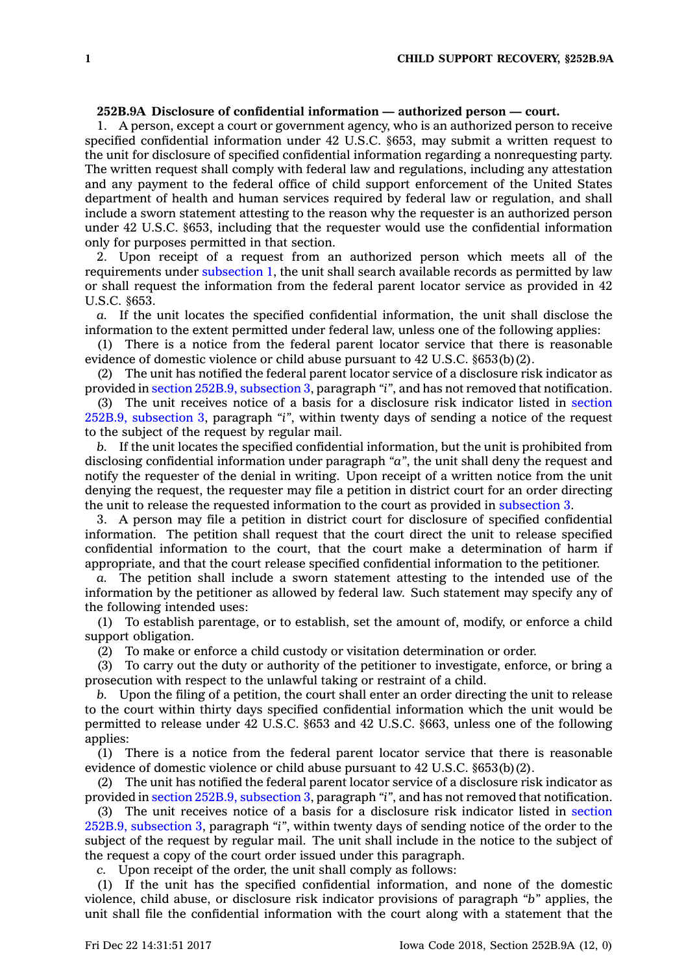## **252B.9A Disclosure of confidential information — authorized person — court.**

1. A person, except <sup>a</sup> court or government agency, who is an authorized person to receive specified confidential information under 42 U.S.C. §653, may submit <sup>a</sup> written request to the unit for disclosure of specified confidential information regarding <sup>a</sup> nonrequesting party. The written request shall comply with federal law and regulations, including any attestation and any payment to the federal office of child support enforcement of the United States department of health and human services required by federal law or regulation, and shall include <sup>a</sup> sworn statement attesting to the reason why the requester is an authorized person under 42 U.S.C. §653, including that the requester would use the confidential information only for purposes permitted in that section.

2. Upon receipt of <sup>a</sup> request from an authorized person which meets all of the requirements under [subsection](https://www.legis.iowa.gov/docs/code/252B.9A.pdf) 1, the unit shall search available records as permitted by law or shall request the information from the federal parent locator service as provided in 42 U.S.C. §653.

*a.* If the unit locates the specified confidential information, the unit shall disclose the information to the extent permitted under federal law, unless one of the following applies:

(1) There is <sup>a</sup> notice from the federal parent locator service that there is reasonable evidence of domestic violence or child abuse pursuant to 42 U.S.C. §653(b)(2).

(2) The unit has notified the federal parent locator service of <sup>a</sup> disclosure risk indicator as provided in section 252B.9, [subsection](https://www.legis.iowa.gov/docs/code/252B.9.pdf) 3, paragraph *"i"*, and has not removed that notification.

(3) The unit receives notice of <sup>a</sup> basis for <sup>a</sup> disclosure risk indicator listed in [section](https://www.legis.iowa.gov/docs/code/252B.9.pdf) 252B.9, [subsection](https://www.legis.iowa.gov/docs/code/252B.9.pdf) 3, paragraph *"i"*, within twenty days of sending <sup>a</sup> notice of the request to the subject of the request by regular mail.

*b.* If the unit locates the specified confidential information, but the unit is prohibited from disclosing confidential information under paragraph *"a"*, the unit shall deny the request and notify the requester of the denial in writing. Upon receipt of <sup>a</sup> written notice from the unit denying the request, the requester may file <sup>a</sup> petition in district court for an order directing the unit to release the requested information to the court as provided in [subsection](https://www.legis.iowa.gov/docs/code/252B.9A.pdf) 3.

3. A person may file <sup>a</sup> petition in district court for disclosure of specified confidential information. The petition shall request that the court direct the unit to release specified confidential information to the court, that the court make <sup>a</sup> determination of harm if appropriate, and that the court release specified confidential information to the petitioner.

*a.* The petition shall include <sup>a</sup> sworn statement attesting to the intended use of the information by the petitioner as allowed by federal law. Such statement may specify any of the following intended uses:

(1) To establish parentage, or to establish, set the amount of, modify, or enforce <sup>a</sup> child support obligation.

(2) To make or enforce <sup>a</sup> child custody or visitation determination or order.

(3) To carry out the duty or authority of the petitioner to investigate, enforce, or bring <sup>a</sup> prosecution with respect to the unlawful taking or restraint of <sup>a</sup> child.

*b.* Upon the filing of <sup>a</sup> petition, the court shall enter an order directing the unit to release to the court within thirty days specified confidential information which the unit would be permitted to release under 42 U.S.C. §653 and 42 U.S.C. §663, unless one of the following applies:

(1) There is <sup>a</sup> notice from the federal parent locator service that there is reasonable evidence of domestic violence or child abuse pursuant to 42 U.S.C. §653(b)(2).

(2) The unit has notified the federal parent locator service of <sup>a</sup> disclosure risk indicator as provided in section 252B.9, [subsection](https://www.legis.iowa.gov/docs/code/252B.9.pdf) 3, paragraph *"i"*, and has not removed that notification.

(3) The unit receives notice of <sup>a</sup> basis for <sup>a</sup> disclosure risk indicator listed in [section](https://www.legis.iowa.gov/docs/code/252B.9.pdf) 252B.9, [subsection](https://www.legis.iowa.gov/docs/code/252B.9.pdf) 3, paragraph *"i"*, within twenty days of sending notice of the order to the subject of the request by regular mail. The unit shall include in the notice to the subject of the request <sup>a</sup> copy of the court order issued under this paragraph.

*c.* Upon receipt of the order, the unit shall comply as follows:

(1) If the unit has the specified confidential information, and none of the domestic violence, child abuse, or disclosure risk indicator provisions of paragraph *"b"* applies, the unit shall file the confidential information with the court along with <sup>a</sup> statement that the